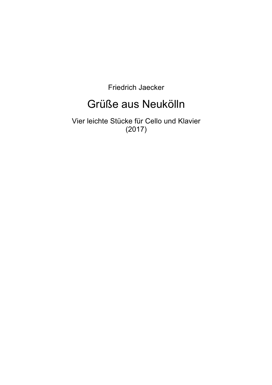Friedrich Jaecker

### Grüße aus Neukölln

Vier leichte Stücke für Cello und Klavier (2017)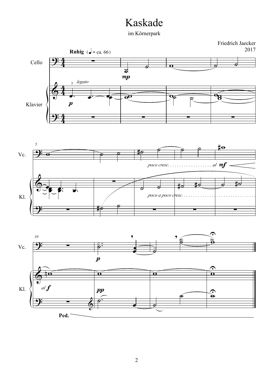### Kaskade

im Körnerpark





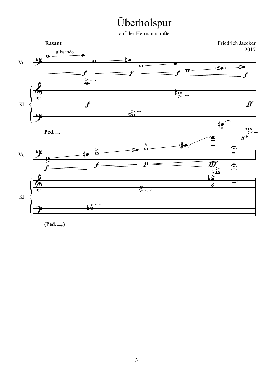# Überholspur

auf der Hermannstraße



(Ped. → )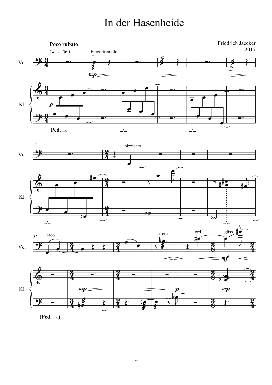## In der Hasenheide







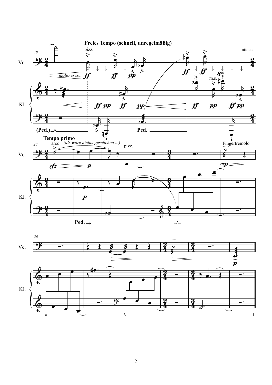

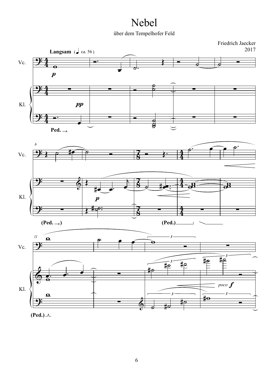### Nebel

über dem Tempelhofer Feld

<u>.</u>

Vc.

Kl.

<u>.</u>

<u>.</u>

Friedrich Jaecker 2017 **Langsam** ( $\int$  ca. 56) 4 Ó. <sup>œ</sup>  $\overrightarrow{c}$ .  $\overline{\phantom{a}}$  $\overline{\phantom{a}}$  $\frac{4}{4}$  $\overline{\mathbf{e}}$  $\boldsymbol{p}$  $\overline{\phantom{a}}$ 4  $\frac{1}{2}$ ∑ ∑ ∑ ∑  $\frac{4}{4}$  $\boldsymbol{pp}$ 4 —∙<br>————————————————————<br>● ∑  $\frac{1}{\sqrt{2}}$ ∑ ∑  $\frac{4}{4}$  $\frac{1}{2}$  $\overline{\mathbf{C}}$ **Ped.** →